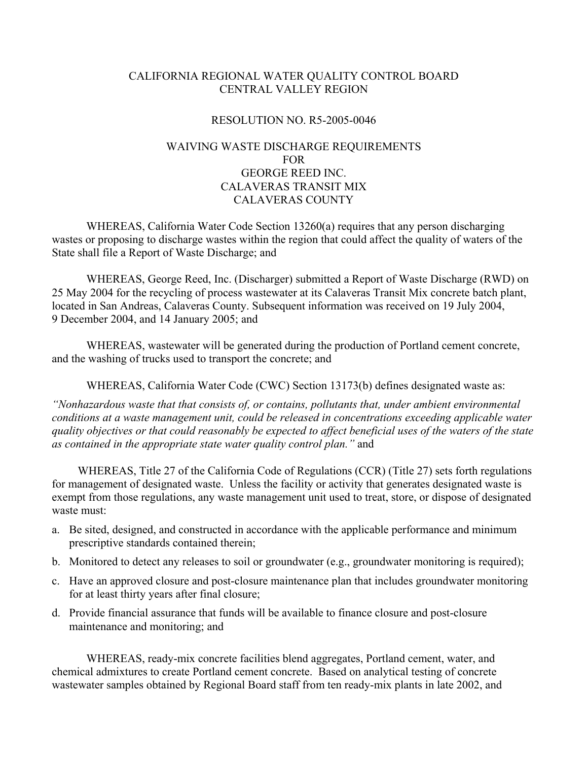## CALIFORNIA REGIONAL WATER QUALITY CONTROL BOARD CENTRAL VALLEY REGION

## RESOLUTION NO. R5-2005-0046

## WAIVING WASTE DISCHARGE REQUIREMENTS FOR GEORGE REED INC. CALAVERAS TRANSIT MIX CALAVERAS COUNTY

 WHEREAS, California Water Code Section 13260(a) requires that any person discharging wastes or proposing to discharge wastes within the region that could affect the quality of waters of the State shall file a Report of Waste Discharge; and

 WHEREAS, George Reed, Inc. (Discharger) submitted a Report of Waste Discharge (RWD) on 25 May 2004 for the recycling of process wastewater at its Calaveras Transit Mix concrete batch plant, located in San Andreas, Calaveras County. Subsequent information was received on 19 July 2004, 9 December 2004, and 14 January 2005; and

 WHEREAS, wastewater will be generated during the production of Portland cement concrete, and the washing of trucks used to transport the concrete; and

WHEREAS, California Water Code (CWC) Section 13173(b) defines designated waste as:

*"Nonhazardous waste that that consists of, or contains, pollutants that, under ambient environmental conditions at a waste management unit, could be released in concentrations exceeding applicable water quality objectives or that could reasonably be expected to affect beneficial uses of the waters of the state as contained in the appropriate state water quality control plan."* and

WHEREAS, Title 27 of the California Code of Regulations (CCR) (Title 27) sets forth regulations for management of designated waste.Unless the facility or activity that generates designated waste is exempt from those regulations, any waste management unit used to treat, store, or dispose of designated waste must:

- a. Be sited, designed, and constructed in accordance with the applicable performance and minimum prescriptive standards contained therein;
- b. Monitored to detect any releases to soil or groundwater (e.g., groundwater monitoring is required);
- c. Have an approved closure and post-closure maintenance plan that includes groundwater monitoring for at least thirty years after final closure;
- d. Provide financial assurance that funds will be available to finance closure and post-closure maintenance and monitoring; and

 WHEREAS, ready-mix concrete facilities blend aggregates, Portland cement, water, and chemical admixtures to create Portland cement concrete. Based on analytical testing of concrete wastewater samples obtained by Regional Board staff from ten ready-mix plants in late 2002, and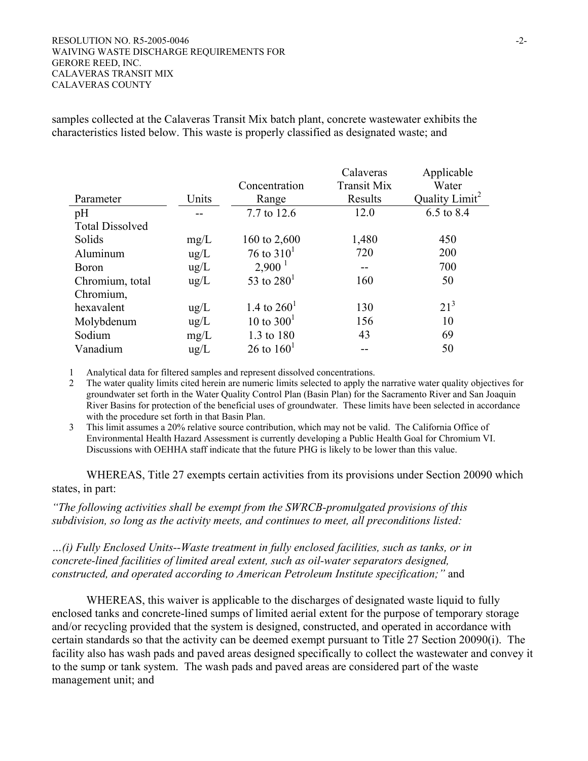#### $\text{RESOLUTION NO. R5-2005-0046}$   $\text{-}2$ -WAIVING WASTE DISCHARGE REQUIREMENTS FOR GERORE REED, INC. CALAVERAS TRANSIT MIX CALAVERAS COUNTY

samples collected at the Calaveras Transit Mix batch plant, concrete wastewater exhibits the characteristics listed below. This waste is properly classified as designated waste; and

|                        |               |                    | Calaveras          | Applicable                 |
|------------------------|---------------|--------------------|--------------------|----------------------------|
|                        |               | Concentration      | <b>Transit Mix</b> | Water                      |
| Parameter              | Units         | Range              | Results            | Quality Limit <sup>2</sup> |
| pH                     |               | 7.7 to 12.6        | 12.0               | 6.5 to 8.4                 |
| <b>Total Dissolved</b> |               |                    |                    |                            |
| Solids                 | mg/L          | 160 to 2,600       | 1,480              | 450                        |
| Aluminum               | $\text{ug/L}$ | 76 to $310^1$      | 720                | 200                        |
| <b>Boron</b>           | $\text{ug/L}$ | $2,900^{\text{1}}$ |                    | 700                        |
| Chromium, total        | ug/L          | 53 to $280^1$      | 160                | 50                         |
| Chromium,              |               |                    |                    |                            |
| hexavalent             | $\text{ug/L}$ | 1.4 to $260^1$     | 130                | $21^3$                     |
| Molybdenum             | $\text{ug/L}$ | 10 to $300^1$      | 156                | 10                         |
| Sodium                 | mg/L          | 1.3 to 180         | 43                 | 69                         |
| Vanadium               | $\mu$ g/L     | 26 to $160^1$      |                    | 50                         |

1 Analytical data for filtered samples and represent dissolved concentrations.

2 The water quality limits cited herein are numeric limits selected to apply the narrative water quality objectives for groundwater set forth in the Water Quality Control Plan (Basin Plan) for the Sacramento River and San Joaquin River Basins for protection of the beneficial uses of groundwater. These limits have been selected in accordance with the procedure set forth in that Basin Plan.

3 This limit assumes a 20% relative source contribution, which may not be valid. The California Office of Environmental Health Hazard Assessment is currently developing a Public Health Goal for Chromium VI. Discussions with OEHHA staff indicate that the future PHG is likely to be lower than this value.

 WHEREAS, Title 27 exempts certain activities from its provisions under Section 20090 which states, in part:

*"The following activities shall be exempt from the SWRCB-promulgated provisions of this subdivision, so long as the activity meets, and continues to meet, all preconditions listed:* 

*…(i) Fully Enclosed Units--Waste treatment in fully enclosed facilities, such as tanks, or in concrete-lined facilities of limited areal extent, such as oil-water separators designed, constructed, and operated according to American Petroleum Institute specification;"* and

WHEREAS, this waiver is applicable to the discharges of designated waste liquid to fully enclosed tanks and concrete-lined sumps of limited aerial extent for the purpose of temporary storage and/or recycling provided that the system is designed, constructed, and operated in accordance with certain standards so that the activity can be deemed exempt pursuant to Title 27 Section 20090(i). The facility also has wash pads and paved areas designed specifically to collect the wastewater and convey it to the sump or tank system. The wash pads and paved areas are considered part of the waste management unit; and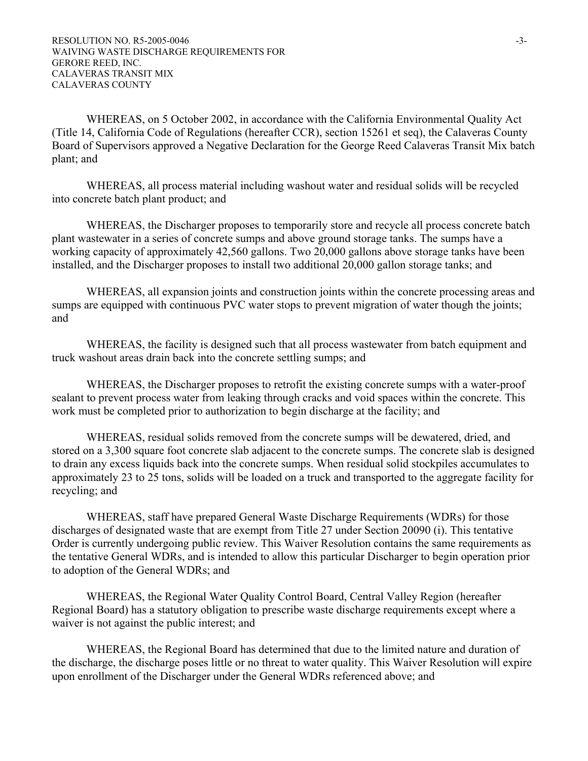WHEREAS, on 5 October 2002, in accordance with the California Environmental Quality Act (Title 14, California Code of Regulations (hereafter CCR), section 15261 et seq), the Calaveras County Board of Supervisors approved a Negative Declaration for the George Reed Calaveras Transit Mix batch plant; and

WHEREAS, all process material including washout water and residual solids will be recycled into concrete batch plant product; and

WHEREAS, the Discharger proposes to temporarily store and recycle all process concrete batch plant wastewater in a series of concrete sumps and above ground storage tanks. The sumps have a working capacity of approximately 42,560 gallons. Two 20,000 gallons above storage tanks have been installed, and the Discharger proposes to install two additional 20,000 gallon storage tanks; and

WHEREAS, all expansion joints and construction joints within the concrete processing areas and sumps are equipped with continuous PVC water stops to prevent migration of water though the joints; and

WHEREAS, the facility is designed such that all process wastewater from batch equipment and truck washout areas drain back into the concrete settling sumps; and

WHEREAS, the Discharger proposes to retrofit the existing concrete sumps with a water-proof sealant to prevent process water from leaking through cracks and void spaces within the concrete. This work must be completed prior to authorization to begin discharge at the facility; and

WHEREAS, residual solids removed from the concrete sumps will be dewatered, dried, and stored on a 3,300 square foot concrete slab adjacent to the concrete sumps. The concrete slab is designed to drain any excess liquids back into the concrete sumps. When residual solid stockpiles accumulates to approximately 23 to 25 tons, solids will be loaded on a truck and transported to the aggregate facility for recycling; and

WHEREAS, staff have prepared General Waste Discharge Requirements (WDRs) for those discharges of designated waste that are exempt from Title 27 under Section 20090 (i). This tentative Order is currently undergoing public review. This Waiver Resolution contains the same requirements as the tentative General WDRs, and is intended to allow this particular Discharger to begin operation prior to adoption of the General WDRs; and

 WHEREAS, the Regional Water Quality Control Board, Central Valley Region (hereafter Regional Board) has a statutory obligation to prescribe waste discharge requirements except where a waiver is not against the public interest; and

 WHEREAS, the Regional Board has determined that due to the limited nature and duration of the discharge, the discharge poses little or no threat to water quality. This Waiver Resolution will expire upon enrollment of the Discharger under the General WDRs referenced above; and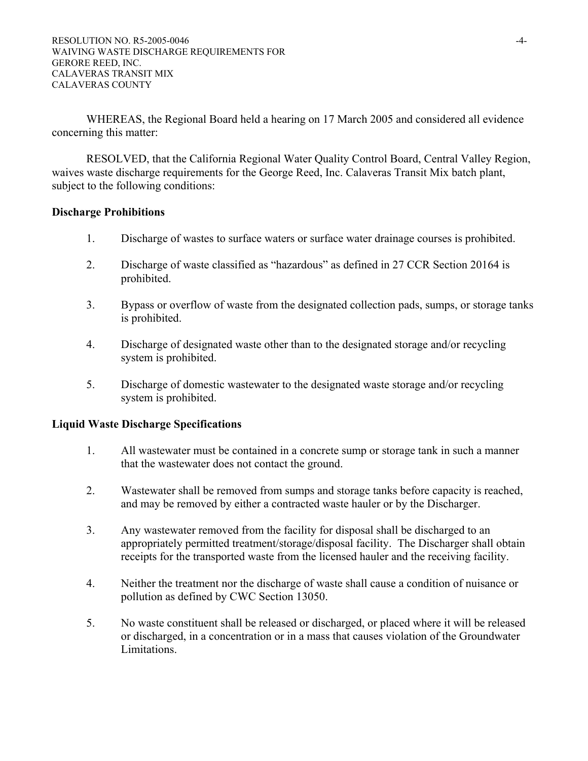WHEREAS, the Regional Board held a hearing on 17 March 2005 and considered all evidence concerning this matter:

 RESOLVED, that the California Regional Water Quality Control Board, Central Valley Region, waives waste discharge requirements for the George Reed, Inc. Calaveras Transit Mix batch plant, subject to the following conditions:

#### **Discharge Prohibitions**

- 1. Discharge of wastes to surface waters or surface water drainage courses is prohibited.
- 2. Discharge of waste classified as "hazardous" as defined in 27 CCR Section 20164 is prohibited.
- 3. Bypass or overflow of waste from the designated collection pads, sumps, or storage tanks is prohibited.
- 4. Discharge of designated waste other than to the designated storage and/or recycling system is prohibited.
- 5. Discharge of domestic wastewater to the designated waste storage and/or recycling system is prohibited.

#### **Liquid Waste Discharge Specifications**

- 1. All wastewater must be contained in a concrete sump or storage tank in such a manner that the wastewater does not contact the ground.
- 2. Wastewater shall be removed from sumps and storage tanks before capacity is reached, and may be removed by either a contracted waste hauler or by the Discharger.
- 3. Any wastewater removed from the facility for disposal shall be discharged to an appropriately permitted treatment/storage/disposal facility. The Discharger shall obtain receipts for the transported waste from the licensed hauler and the receiving facility.
- 4. Neither the treatment nor the discharge of waste shall cause a condition of nuisance or pollution as defined by CWC Section 13050.
- 5. No waste constituent shall be released or discharged, or placed where it will be released or discharged, in a concentration or in a mass that causes violation of the Groundwater Limitations.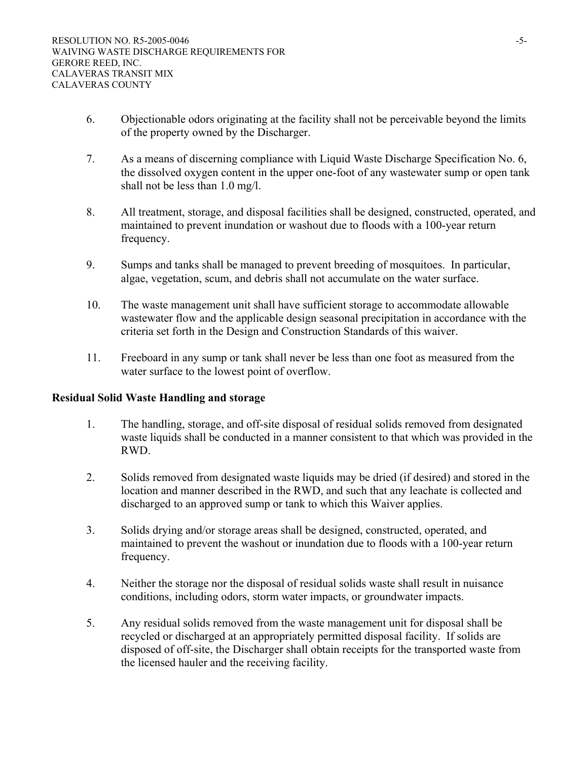- 6. Objectionable odors originating at the facility shall not be perceivable beyond the limits of the property owned by the Discharger.
- 7. As a means of discerning compliance with Liquid Waste Discharge Specification No. 6, the dissolved oxygen content in the upper one-foot of any wastewater sump or open tank shall not be less than 1.0 mg/l.
- 8. All treatment, storage, and disposal facilities shall be designed, constructed, operated, and maintained to prevent inundation or washout due to floods with a 100-year return frequency.
- 9. Sumps and tanks shall be managed to prevent breeding of mosquitoes. In particular, algae, vegetation, scum, and debris shall not accumulate on the water surface.
- 10. The waste management unit shall have sufficient storage to accommodate allowable wastewater flow and the applicable design seasonal precipitation in accordance with the criteria set forth in the Design and Construction Standards of this waiver.
- 11. Freeboard in any sump or tank shall never be less than one foot as measured from the water surface to the lowest point of overflow.

## **Residual Solid Waste Handling and storage**

- 1. The handling, storage, and off-site disposal of residual solids removed from designated waste liquids shall be conducted in a manner consistent to that which was provided in the RWD.
- 2. Solids removed from designated waste liquids may be dried (if desired) and stored in the location and manner described in the RWD, and such that any leachate is collected and discharged to an approved sump or tank to which this Waiver applies.
- 3. Solids drying and/or storage areas shall be designed, constructed, operated, and maintained to prevent the washout or inundation due to floods with a 100-year return frequency.
- 4. Neither the storage nor the disposal of residual solids waste shall result in nuisance conditions, including odors, storm water impacts, or groundwater impacts.
- 5. Any residual solids removed from the waste management unit for disposal shall be recycled or discharged at an appropriately permitted disposal facility. If solids are disposed of off-site, the Discharger shall obtain receipts for the transported waste from the licensed hauler and the receiving facility.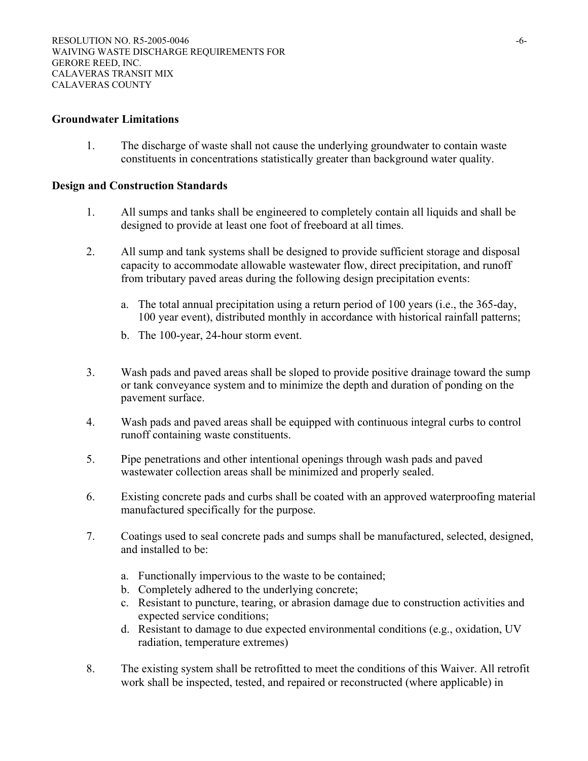#### **Groundwater Limitations**

1. The discharge of waste shall not cause the underlying groundwater to contain waste constituents in concentrations statistically greater than background water quality.

#### **Design and Construction Standards**

- 1. All sumps and tanks shall be engineered to completely contain all liquids and shall be designed to provide at least one foot of freeboard at all times.
- 2. All sump and tank systems shall be designed to provide sufficient storage and disposal capacity to accommodate allowable wastewater flow, direct precipitation, and runoff from tributary paved areas during the following design precipitation events:
	- a. The total annual precipitation using a return period of 100 years (i.e., the 365-day, 100 year event), distributed monthly in accordance with historical rainfall patterns;
	- b. The 100-year, 24-hour storm event.
- 3. Wash pads and paved areas shall be sloped to provide positive drainage toward the sump or tank conveyance system and to minimize the depth and duration of ponding on the pavement surface.
- 4. Wash pads and paved areas shall be equipped with continuous integral curbs to control runoff containing waste constituents.
- 5. Pipe penetrations and other intentional openings through wash pads and paved wastewater collection areas shall be minimized and properly sealed.
- 6. Existing concrete pads and curbs shall be coated with an approved waterproofing material manufactured specifically for the purpose.
- 7. Coatings used to seal concrete pads and sumps shall be manufactured, selected, designed, and installed to be:
	- a. Functionally impervious to the waste to be contained;
	- b. Completely adhered to the underlying concrete;
	- c. Resistant to puncture, tearing, or abrasion damage due to construction activities and expected service conditions;
	- d. Resistant to damage to due expected environmental conditions (e.g., oxidation, UV radiation, temperature extremes)
- 8. The existing system shall be retrofitted to meet the conditions of this Waiver. All retrofit work shall be inspected, tested, and repaired or reconstructed (where applicable) in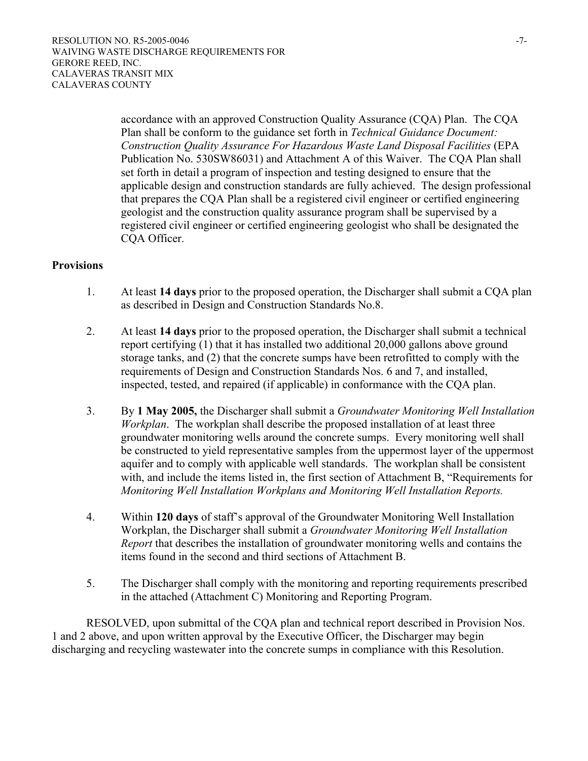accordance with an approved Construction Quality Assurance (CQA) Plan. The CQA Plan shall be conform to the guidance set forth in *Technical Guidance Document: Construction Quality Assurance For Hazardous Waste Land Disposal Facilities* (EPA Publication No. 530SW86031) and Attachment A of this Waiver. The CQA Plan shall set forth in detail a program of inspection and testing designed to ensure that the applicable design and construction standards are fully achieved. The design professional that prepares the CQA Plan shall be a registered civil engineer or certified engineering geologist and the construction quality assurance program shall be supervised by a registered civil engineer or certified engineering geologist who shall be designated the CQA Officer.

## **Provisions**

- 1. At least **14 days** prior to the proposed operation, the Discharger shall submit a CQA plan as described in Design and Construction Standards No.8.
- 2. At least **14 days** prior to the proposed operation, the Discharger shall submit a technical report certifying (1) that it has installed two additional 20,000 gallons above ground storage tanks, and (2) that the concrete sumps have been retrofitted to comply with the requirements of Design and Construction Standards Nos. 6 and 7, and installed, inspected, tested, and repaired (if applicable) in conformance with the CQA plan.
- 3. By **1 May 2005,** the Discharger shall submit a *Groundwater Monitoring Well Installation Workplan*. The workplan shall describe the proposed installation of at least three groundwater monitoring wells around the concrete sumps. Every monitoring well shall be constructed to yield representative samples from the uppermost layer of the uppermost aquifer and to comply with applicable well standards. The workplan shall be consistent with, and include the items listed in, the first section of Attachment B, "Requirements for *Monitoring Well Installation Workplans and Monitoring Well Installation Reports.*
- 4. Within **120 days** of staff's approval of the Groundwater Monitoring Well Installation Workplan, the Discharger shall submit a *Groundwater Monitoring Well Installation Report* that describes the installation of groundwater monitoring wells and contains the items found in the second and third sections of Attachment B.
- 5. The Discharger shall comply with the monitoring and reporting requirements prescribed in the attached (Attachment C) Monitoring and Reporting Program.

 RESOLVED, upon submittal of the CQA plan and technical report described in Provision Nos. 1 and 2 above, and upon written approval by the Executive Officer, the Discharger may begin discharging and recycling wastewater into the concrete sumps in compliance with this Resolution.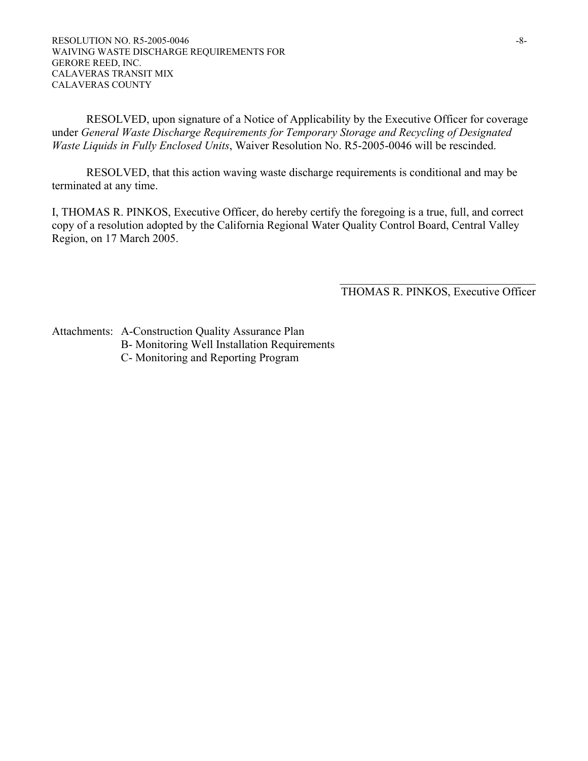RESOLVED, upon signature of a Notice of Applicability by the Executive Officer for coverage under *General Waste Discharge Requirements for Temporary Storage and Recycling of Designated Waste Liquids in Fully Enclosed Units*, Waiver Resolution No. R5-2005-0046 will be rescinded.

 RESOLVED, that this action waving waste discharge requirements is conditional and may be terminated at any time.

I, THOMAS R. PINKOS, Executive Officer, do hereby certify the foregoing is a true, full, and correct copy of a resolution adopted by the California Regional Water Quality Control Board, Central Valley Region, on 17 March 2005.

> $\mathcal{L}_\text{max}$  , where  $\mathcal{L}_\text{max}$  and  $\mathcal{L}_\text{max}$  and  $\mathcal{L}_\text{max}$ THOMAS R. PINKOS, Executive Officer

Attachments: A-Construction Quality Assurance Plan

- B- Monitoring Well Installation Requirements
- C- Monitoring and Reporting Program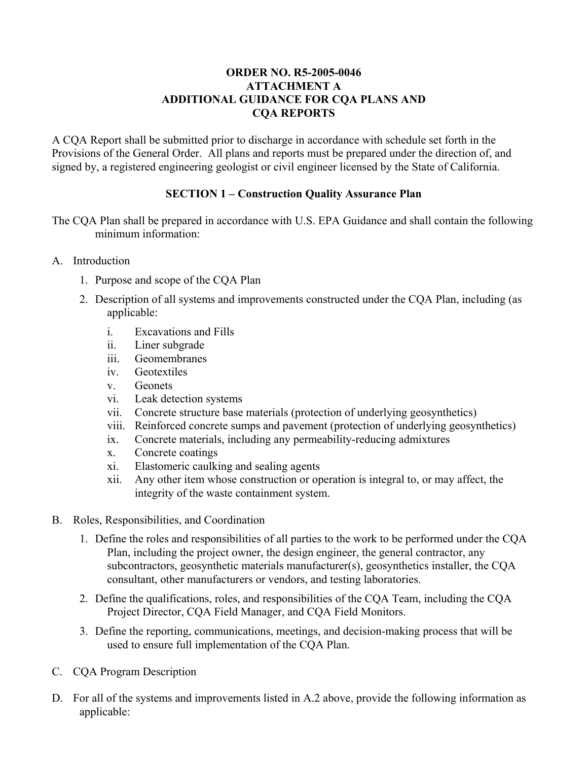## **ORDER NO. R5-2005-0046 ATTACHMENT A ADDITIONAL GUIDANCE FOR CQA PLANS AND CQA REPORTS**

A CQA Report shall be submitted prior to discharge in accordance with schedule set forth in the Provisions of the General Order. All plans and reports must be prepared under the direction of, and signed by, a registered engineering geologist or civil engineer licensed by the State of California.

## **SECTION 1 – Construction Quality Assurance Plan**

The CQA Plan shall be prepared in accordance with U.S. EPA Guidance and shall contain the following minimum information:

- A. Introduction
	- 1. Purpose and scope of the CQA Plan
	- 2. Description of all systems and improvements constructed under the CQA Plan, including (as applicable:
		- i. Excavations and Fills
		- ii. Liner subgrade
		- iii. Geomembranes
		- iv. Geotextiles
		- v. Geonets
		- vi. Leak detection systems
		- vii. Concrete structure base materials (protection of underlying geosynthetics)
		- viii. Reinforced concrete sumps and pavement (protection of underlying geosynthetics)
		- ix. Concrete materials, including any permeability-reducing admixtures
		- x. Concrete coatings
		- xi. Elastomeric caulking and sealing agents
		- xii. Any other item whose construction or operation is integral to, or may affect, the integrity of the waste containment system.
- B. Roles, Responsibilities, and Coordination
	- 1. Define the roles and responsibilities of all parties to the work to be performed under the CQA Plan, including the project owner, the design engineer, the general contractor, any subcontractors, geosynthetic materials manufacturer(s), geosynthetics installer, the CQA consultant, other manufacturers or vendors, and testing laboratories.
	- 2. Define the qualifications, roles, and responsibilities of the CQA Team, including the CQA Project Director, CQA Field Manager, and CQA Field Monitors.
	- 3. Define the reporting, communications, meetings, and decision-making process that will be used to ensure full implementation of the CQA Plan.
- C. CQA Program Description
- D. For all of the systems and improvements listed in A.2 above, provide the following information as applicable: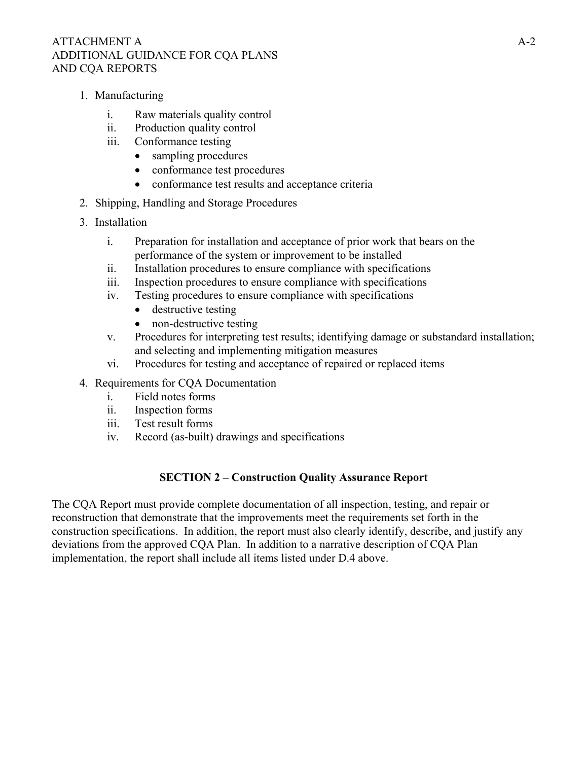## ATTACHMENT A  $A-2$ ADDITIONAL GUIDANCE FOR CQA PLANS AND CQA REPORTS

- 1. Manufacturing
	- i. Raw materials quality control
	- ii. Production quality control
	- iii. Conformance testing
		- sampling procedures
		- conformance test procedures
		- conformance test results and acceptance criteria
- 2. Shipping, Handling and Storage Procedures
- 3. Installation
	- i. Preparation for installation and acceptance of prior work that bears on the performance of the system or improvement to be installed
	- ii. Installation procedures to ensure compliance with specifications
	- iii. Inspection procedures to ensure compliance with specifications
	- iv. Testing procedures to ensure compliance with specifications
		- destructive testing
		- non-destructive testing
	- v. Procedures for interpreting test results; identifying damage or substandard installation; and selecting and implementing mitigation measures
	- vi. Procedures for testing and acceptance of repaired or replaced items
- 4. Requirements for CQA Documentation
	- i. Field notes forms
	- ii. Inspection forms
	- iii. Test result forms
	- iv. Record (as-built) drawings and specifications

## **SECTION 2 – Construction Quality Assurance Report**

The CQA Report must provide complete documentation of all inspection, testing, and repair or reconstruction that demonstrate that the improvements meet the requirements set forth in the construction specifications. In addition, the report must also clearly identify, describe, and justify any deviations from the approved CQA Plan. In addition to a narrative description of CQA Plan implementation, the report shall include all items listed under D.4 above.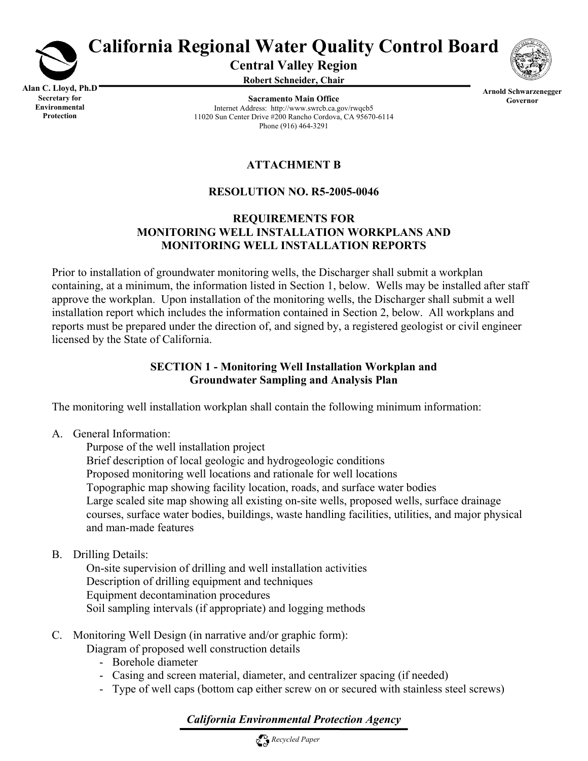

# **California Regional Water Quality Control Board**

**Central Valley Region** 

**Robert Schneider, Chair**



**Alan C. Lloyd, Ph.D Secretary for Environmental Protection**

**Sacramento Main Office** Internet Address: http://www.swrcb.ca.gov/rwqcb5 11020 Sun Center Drive #200 Rancho Cordova, CA 95670-6114 Phone (916) 464-3291

**Arnold Schwarzenegger Governor**

# **ATTACHMENT B**

## **RESOLUTION NO. R5-2005-0046**

## **REQUIREMENTS FOR MONITORING WELL INSTALLATION WORKPLANS AND MONITORING WELL INSTALLATION REPORTS**

Prior to installation of groundwater monitoring wells, the Discharger shall submit a workplan containing, at a minimum, the information listed in Section 1, below. Wells may be installed after staff approve the workplan. Upon installation of the monitoring wells, the Discharger shall submit a well installation report which includes the information contained in Section 2, below. All workplans and reports must be prepared under the direction of, and signed by, a registered geologist or civil engineer licensed by the State of California.

## **SECTION 1 - Monitoring Well Installation Workplan and Groundwater Sampling and Analysis Plan**

The monitoring well installation workplan shall contain the following minimum information:

A. General Information:

 Purpose of the well installation project Brief description of local geologic and hydrogeologic conditions Proposed monitoring well locations and rationale for well locations Topographic map showing facility location, roads, and surface water bodies Large scaled site map showing all existing on-site wells, proposed wells, surface drainage courses, surface water bodies, buildings, waste handling facilities, utilities, and major physical and man-made features

B. Drilling Details:

 On-site supervision of drilling and well installation activities Description of drilling equipment and techniques Equipment decontamination procedures Soil sampling intervals (if appropriate) and logging methods

- C. Monitoring Well Design (in narrative and/or graphic form):
	- Diagram of proposed well construction details
		- Borehole diameter
		- Casing and screen material, diameter, and centralizer spacing (if needed)
		- Type of well caps (bottom cap either screw on or secured with stainless steel screws)

## *California Environmental Protection Agency*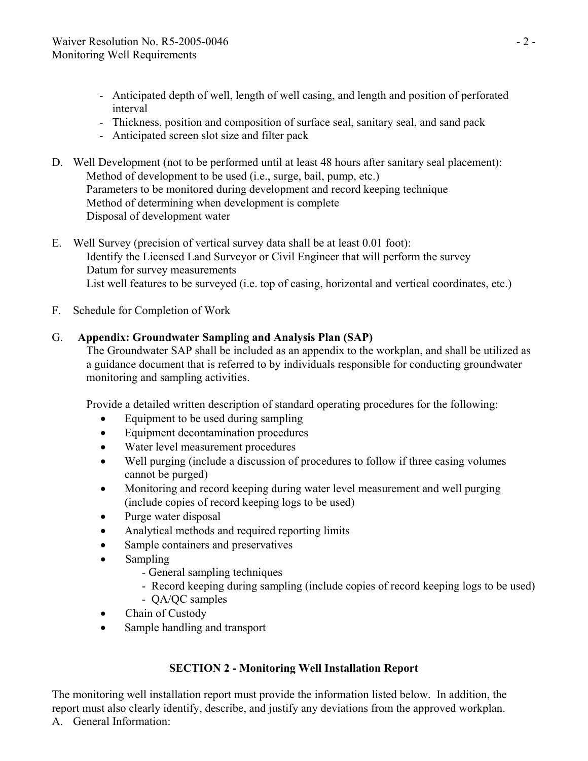- Anticipated depth of well, length of well casing, and length and position of perforated interval
- Thickness, position and composition of surface seal, sanitary seal, and sand pack
- Anticipated screen slot size and filter pack
- D. Well Development (not to be performed until at least 48 hours after sanitary seal placement): Method of development to be used (i.e., surge, bail, pump, etc.) Parameters to be monitored during development and record keeping technique Method of determining when development is complete Disposal of development water
- E. Well Survey (precision of vertical survey data shall be at least 0.01 foot): Identify the Licensed Land Surveyor or Civil Engineer that will perform the survey Datum for survey measurements List well features to be surveyed (i.e. top of casing, horizontal and vertical coordinates, etc.)
- F. Schedule for Completion of Work

## G. **Appendix: Groundwater Sampling and Analysis Plan (SAP)**

The Groundwater SAP shall be included as an appendix to the workplan, and shall be utilized as a guidance document that is referred to by individuals responsible for conducting groundwater monitoring and sampling activities.

Provide a detailed written description of standard operating procedures for the following:

- Equipment to be used during sampling
- Equipment decontamination procedures
- Water level measurement procedures
- Well purging (include a discussion of procedures to follow if three casing volumes cannot be purged)
- Monitoring and record keeping during water level measurement and well purging (include copies of record keeping logs to be used)
- Purge water disposal
- Analytical methods and required reporting limits
- Sample containers and preservatives
- Sampling
	- General sampling techniques
	- Record keeping during sampling (include copies of record keeping logs to be used)
	- QA/QC samples
- Chain of Custody
- Sample handling and transport

## **SECTION 2 - Monitoring Well Installation Report**

The monitoring well installation report must provide the information listed below. In addition, the report must also clearly identify, describe, and justify any deviations from the approved workplan. A. General Information: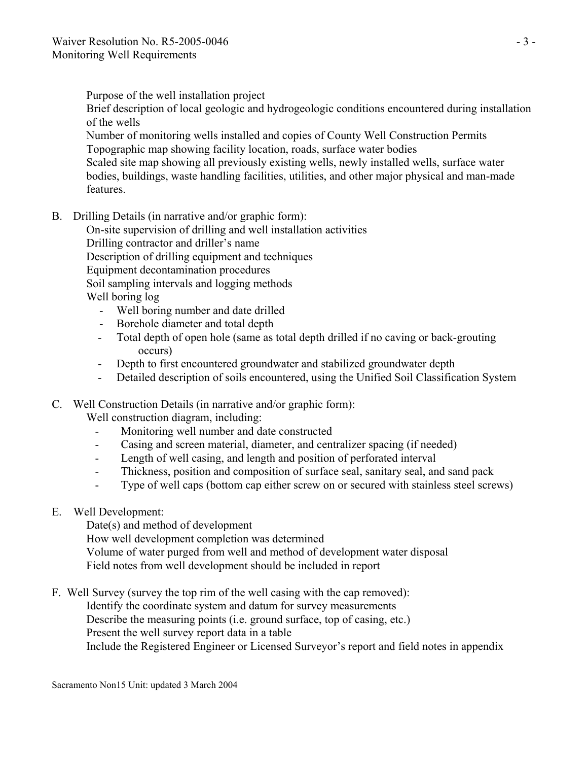Purpose of the well installation project

 Brief description of local geologic and hydrogeologic conditions encountered during installation of the wells

 Number of monitoring wells installed and copies of County Well Construction Permits Topographic map showing facility location, roads, surface water bodies

 Scaled site map showing all previously existing wells, newly installed wells, surface water bodies, buildings, waste handling facilities, utilities, and other major physical and man-made features.

B. Drilling Details (in narrative and/or graphic form):

 On-site supervision of drilling and well installation activities Drilling contractor and driller's name Description of drilling equipment and techniques Equipment decontamination procedures Soil sampling intervals and logging methods Well boring log

- Well boring number and date drilled
- Borehole diameter and total depth
- Total depth of open hole (same as total depth drilled if no caving or back-grouting occurs)
- Depth to first encountered groundwater and stabilized groundwater depth
- Detailed description of soils encountered, using the Unified Soil Classification System

## C. Well Construction Details (in narrative and/or graphic form):

Well construction diagram, including:

- Monitoring well number and date constructed
- Casing and screen material, diameter, and centralizer spacing (if needed)
- Length of well casing, and length and position of perforated interval
- Thickness, position and composition of surface seal, sanitary seal, and sand pack
- Type of well caps (bottom cap either screw on or secured with stainless steel screws)
- E. Well Development:

 Date(s) and method of development How well development completion was determined Volume of water purged from well and method of development water disposal Field notes from well development should be included in report

F. Well Survey (survey the top rim of the well casing with the cap removed):

Identify the coordinate system and datum for survey measurements

Describe the measuring points (i.e. ground surface, top of casing, etc.)

Present the well survey report data in a table

Include the Registered Engineer or Licensed Surveyor's report and field notes in appendix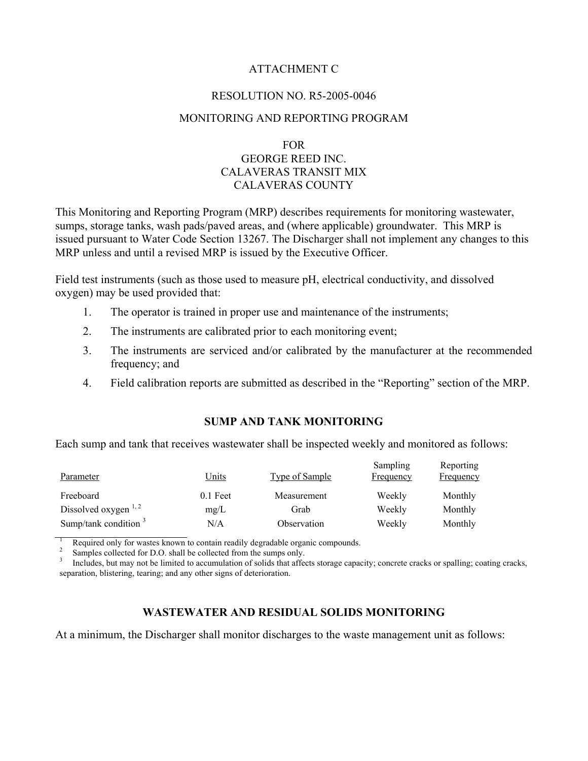## ATTACHMENT C

## RESOLUTION NO. R5-2005-0046

## MONITORING AND REPORTING PROGRAM

## FOR GEORGE REED INC. CALAVERAS TRANSIT MIX CALAVERAS COUNTY

This Monitoring and Reporting Program (MRP) describes requirements for monitoring wastewater, sumps, storage tanks, wash pads/paved areas, and (where applicable) groundwater. This MRP is issued pursuant to Water Code Section 13267. The Discharger shall not implement any changes to this MRP unless and until a revised MRP is issued by the Executive Officer.

Field test instruments (such as those used to measure pH, electrical conductivity, and dissolved oxygen) may be used provided that:

- 1. The operator is trained in proper use and maintenance of the instruments;
- 2. The instruments are calibrated prior to each monitoring event;
- 3. The instruments are serviced and/or calibrated by the manufacturer at the recommended frequency; and
- 4. Field calibration reports are submitted as described in the "Reporting" section of the MRP.

## **SUMP AND TANK MONITORING**

Each sump and tank that receives wastewater shall be inspected weekly and monitored as follows:

| Parameter               | <u>Units</u> | <b>Type of Sample</b> | Sampling<br>Frequency | Reporting<br>Frequency |
|-------------------------|--------------|-----------------------|-----------------------|------------------------|
| Freeboard               | $0.1$ Feet   | Measurement           | Weekly                | Monthly                |
| Dissolved oxygen $1, 2$ | mg/L         | Grab                  | Weekly                | Monthly                |
| Sump/tank condition $3$ | N/A          | Observation           | Weekly                | Monthly                |

<sup>1</sup> Required only for wastes known to contain readily degradable organic compounds.<br><sup>2</sup> Samples collected for D.O. shall be collected from the sumps only.<br><sup>3</sup> Includes, but may not be limited to accumulation of solids tha separation, blistering, tearing; and any other signs of deterioration.

## **WASTEWATER AND RESIDUAL SOLIDS MONITORING**

At a minimum, the Discharger shall monitor discharges to the waste management unit as follows: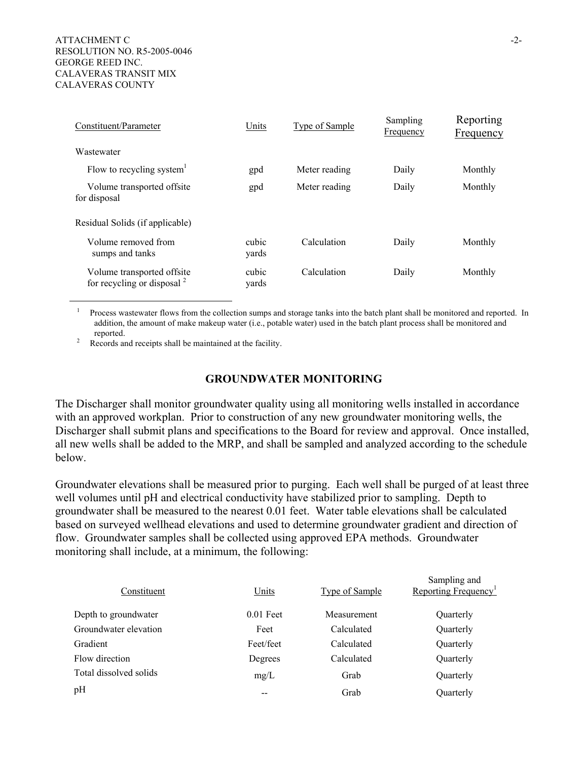| Constituent/Parameter                                       | Units          | <b>Type of Sample</b> | Sampling<br>Frequency | Reporting<br><b>Frequency</b> |
|-------------------------------------------------------------|----------------|-----------------------|-----------------------|-------------------------------|
| Wastewater                                                  |                |                       |                       |                               |
| Flow to recycling system $\overline{ }$                     | gpd            | Meter reading         | Daily                 | Monthly                       |
| Volume transported offsite<br>for disposal                  | gpd            | Meter reading         | Daily                 | Monthly                       |
| Residual Solids (if applicable)                             |                |                       |                       |                               |
| Volume removed from<br>sumps and tanks                      | cubic<br>vards | Calculation           | Daily                 | Monthly                       |
| Volume transported offsite<br>for recycling or disposal $2$ | cubic<br>vards | Calculation           | Daily                 | Monthly                       |

<sup>1</sup> Process wastewater flows from the collection sumps and storage tanks into the batch plant shall be monitored and reported. In addition, the amount of make makeup water (i.e., potable water) used in the batch plant process shall be monitored and reported.

Records and receipts shall be maintained at the facility.

#### **GROUNDWATER MONITORING**

The Discharger shall monitor groundwater quality using all monitoring wells installed in accordance with an approved workplan. Prior to construction of any new groundwater monitoring wells, the Discharger shall submit plans and specifications to the Board for review and approval. Once installed, all new wells shall be added to the MRP, and shall be sampled and analyzed according to the schedule below.

Groundwater elevations shall be measured prior to purging. Each well shall be purged of at least three well volumes until pH and electrical conductivity have stabilized prior to sampling. Depth to groundwater shall be measured to the nearest 0.01 feet. Water table elevations shall be calculated based on surveyed wellhead elevations and used to determine groundwater gradient and direction of flow. Groundwater samples shall be collected using approved EPA methods. Groundwater monitoring shall include, at a minimum, the following:

| Constituent            | Units       | <b>Type of Sample</b> | Sampling and<br>Reporting Frequency <sup>1</sup> |
|------------------------|-------------|-----------------------|--------------------------------------------------|
| Depth to groundwater   | $0.01$ Feet | Measurement           | Quarterly                                        |
| Groundwater elevation  | Feet        | Calculated            | Quarterly                                        |
| Gradient               | Feet/feet   | Calculated            | Quarterly                                        |
| Flow direction         | Degrees     | Calculated            | Quarterly                                        |
| Total dissolved solids | mg/L        | Grab                  | Quarterly                                        |
| pH                     |             | Grab                  | Quarterly                                        |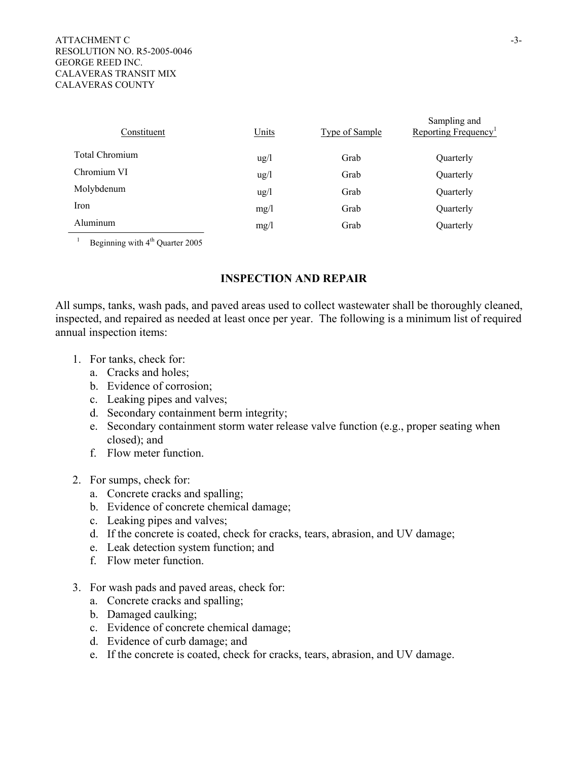| Constituent           | Units           | <b>Type of Sample</b> | Sampling and<br>Reporting Frequency <sup>1</sup> |
|-----------------------|-----------------|-----------------------|--------------------------------------------------|
| <b>Total Chromium</b> | $\frac{u g}{l}$ | Grab                  | Quarterly                                        |
| Chromium VI           | $\frac{u g}{l}$ | Grab                  | Quarterly                                        |
| Molybdenum            | $\frac{u g}{l}$ | Grab                  | Quarterly                                        |
| Iron                  | mg/1            | Grab                  | Quarterly                                        |
| Aluminum              | mg/1            | Grab                  | Quarterly                                        |

<sup>1</sup> Beginning with  $4<sup>th</sup>$  Quarter 2005

## **INSPECTION AND REPAIR**

All sumps, tanks, wash pads, and paved areas used to collect wastewater shall be thoroughly cleaned, inspected, and repaired as needed at least once per year. The following is a minimum list of required annual inspection items:

- 1. For tanks, check for:
	- a. Cracks and holes;
	- b. Evidence of corrosion;
	- c. Leaking pipes and valves;
	- d. Secondary containment berm integrity;
	- e. Secondary containment storm water release valve function (e.g., proper seating when closed); and
	- f. Flow meter function.
- 2. For sumps, check for:
	- a. Concrete cracks and spalling;
	- b. Evidence of concrete chemical damage;
	- c. Leaking pipes and valves;
	- d. If the concrete is coated, check for cracks, tears, abrasion, and UV damage;
	- e. Leak detection system function; and
	- f. Flow meter function.
- 3. For wash pads and paved areas, check for:
	- a. Concrete cracks and spalling;
	- b. Damaged caulking;
	- c. Evidence of concrete chemical damage;
	- d. Evidence of curb damage; and
	- e. If the concrete is coated, check for cracks, tears, abrasion, and UV damage.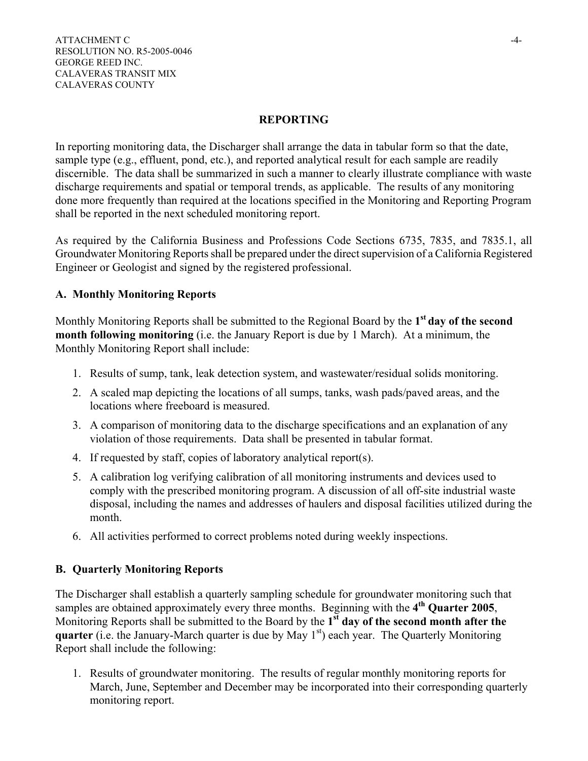## **REPORTING**

In reporting monitoring data, the Discharger shall arrange the data in tabular form so that the date, sample type (e.g., effluent, pond, etc.), and reported analytical result for each sample are readily discernible. The data shall be summarized in such a manner to clearly illustrate compliance with waste discharge requirements and spatial or temporal trends, as applicable. The results of any monitoring done more frequently than required at the locations specified in the Monitoring and Reporting Program shall be reported in the next scheduled monitoring report.

As required by the California Business and Professions Code Sections 6735, 7835, and 7835.1, all Groundwater Monitoring Reports shall be prepared under the direct supervision of a California Registered Engineer or Geologist and signed by the registered professional.

## **A. Monthly Monitoring Reports**

Monthly Monitoring Reports shall be submitted to the Regional Board by the **1st day of the second month following monitoring** (i.e. the January Report is due by 1 March). At a minimum, the Monthly Monitoring Report shall include:

- 1. Results of sump, tank, leak detection system, and wastewater/residual solids monitoring.
- 2. A scaled map depicting the locations of all sumps, tanks, wash pads/paved areas, and the locations where freeboard is measured.
- 3. A comparison of monitoring data to the discharge specifications and an explanation of any violation of those requirements. Data shall be presented in tabular format.
- 4. If requested by staff, copies of laboratory analytical report(s).
- 5. A calibration log verifying calibration of all monitoring instruments and devices used to comply with the prescribed monitoring program. A discussion of all off-site industrial waste disposal, including the names and addresses of haulers and disposal facilities utilized during the month.
- 6. All activities performed to correct problems noted during weekly inspections.

## **B. Quarterly Monitoring Reports**

The Discharger shall establish a quarterly sampling schedule for groundwater monitoring such that samples are obtained approximately every three months. Beginning with the **4th Quarter 2005**, Monitoring Reports shall be submitted to the Board by the **1st day of the second month after the quarter** (i.e. the January-March quarter is due by May 1<sup>st</sup>) each year. The Quarterly Monitoring Report shall include the following:

1. Results of groundwater monitoring. The results of regular monthly monitoring reports for March, June, September and December may be incorporated into their corresponding quarterly monitoring report.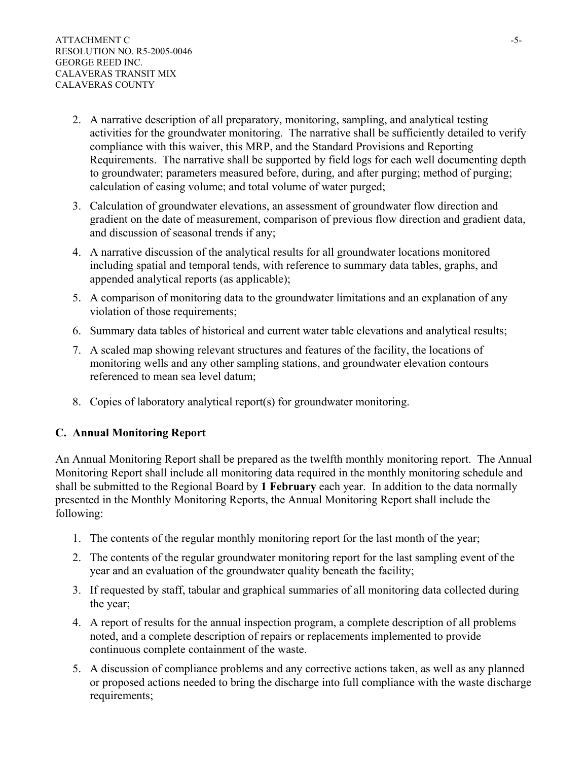- 2. A narrative description of all preparatory, monitoring, sampling, and analytical testing activities for the groundwater monitoring. The narrative shall be sufficiently detailed to verify compliance with this waiver, this MRP, and the Standard Provisions and Reporting Requirements. The narrative shall be supported by field logs for each well documenting depth to groundwater; parameters measured before, during, and after purging; method of purging; calculation of casing volume; and total volume of water purged;
- 3. Calculation of groundwater elevations, an assessment of groundwater flow direction and gradient on the date of measurement, comparison of previous flow direction and gradient data, and discussion of seasonal trends if any;
- 4. A narrative discussion of the analytical results for all groundwater locations monitored including spatial and temporal tends, with reference to summary data tables, graphs, and appended analytical reports (as applicable);
- 5. A comparison of monitoring data to the groundwater limitations and an explanation of any violation of those requirements;
- 6. Summary data tables of historical and current water table elevations and analytical results;
- 7. A scaled map showing relevant structures and features of the facility, the locations of monitoring wells and any other sampling stations, and groundwater elevation contours referenced to mean sea level datum;
- 8. Copies of laboratory analytical report(s) for groundwater monitoring.

## **C. Annual Monitoring Report**

An Annual Monitoring Report shall be prepared as the twelfth monthly monitoring report. The Annual Monitoring Report shall include all monitoring data required in the monthly monitoring schedule and shall be submitted to the Regional Board by **1 February** each year. In addition to the data normally presented in the Monthly Monitoring Reports, the Annual Monitoring Report shall include the following:

- 1. The contents of the regular monthly monitoring report for the last month of the year;
- 2. The contents of the regular groundwater monitoring report for the last sampling event of the year and an evaluation of the groundwater quality beneath the facility;
- 3. If requested by staff, tabular and graphical summaries of all monitoring data collected during the year;
- 4. A report of results for the annual inspection program, a complete description of all problems noted, and a complete description of repairs or replacements implemented to provide continuous complete containment of the waste.
- 5. A discussion of compliance problems and any corrective actions taken, as well as any planned or proposed actions needed to bring the discharge into full compliance with the waste discharge requirements;